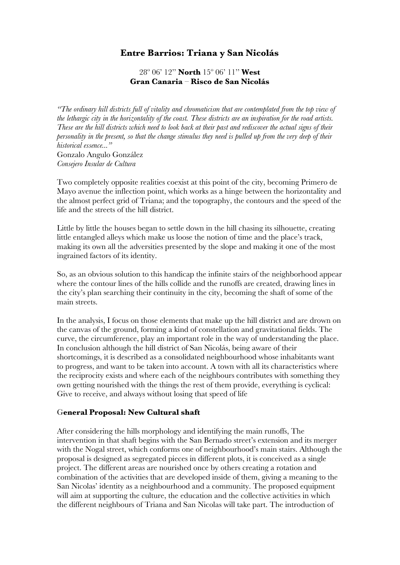## **Entre Barrios: Triana y San Nicolás**

28º 06' 12'' **North** 15º 06' 11'' **West Gran Canaria** – **Risco de San Nicolás**

*"The ordinary hill districts full of vitality and chromaticism that are contemplated from the top view of the lethargic city in the horizontality of the coast. These districts are an inspiration for the road artists. These are the hill districts which need to look back at their past and rediscover the actual signs of their personality in the present, so that the change stimulus they need is pulled up from the very deep of their historical essence..."* Gonzalo Angulo González *Consejero Insular de Cultura*

Two completely opposite realities coexist at this point of the city, becoming Primero de Mayo avenue the inflection point, which works as a hinge between the horizontality and the almost perfect grid of Triana; and the topography, the contours and the speed of the life and the streets of the hill district.

Little by little the houses began to settle down in the hill chasing its silhouette, creating little entangled alleys which make us loose the notion of time and the place's track, making its own all the adversities presented by the slope and making it one of the most ingrained factors of its identity.

So, as an obvious solution to this handicap the infinite stairs of the neighborhood appear where the contour lines of the hills collide and the runoffs are created, drawing lines in the city's plan searching their continuity in the city, becoming the shaft of some of the main streets.

In the analysis, I focus on those elements that make up the hill district and are drown on the canvas of the ground, forming a kind of constellation and gravitational fields. The curve, the circumference, play an important role in the way of understanding the place. In conclusion although the hill district of San Nicolás, being aware of their shortcomings, it is described as a consolidated neighbourhood whose inhabitants want to progress, and want to be taken into account. A town with all its characteristics where the reciprocity exists and where each of the neighbours contributes with something they own getting nourished with the things the rest of them provide, everything is cyclical: Give to receive, and always without losing that speed of life

## G**eneral Proposal: New Cultural shaft**

After considering the hills morphology and identifying the main runoffs, The intervention in that shaft begins with the San Bernado street's extension and its merger with the Nogal street, which conforms one of neighbourhood's main stairs. Although the proposal is designed as segregated pieces in different plots, it is conceived as a single project. The different areas are nourished once by others creating a rotation and combination of the activities that are developed inside of them, giving a meaning to the San Nicolas' identity as a neighbourhood and a community. The proposed equipment will aim at supporting the culture, the education and the collective activities in which the different neighbours of Triana and San Nicolas will take part. The introduction of